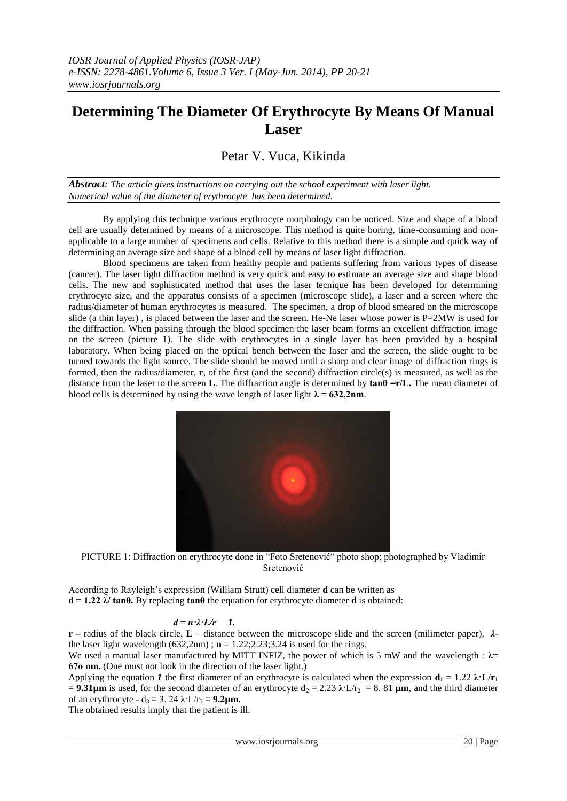## **Determining The Diameter Of Erythrocyte By Means Of Manual Laser**

## Petar V. Vuca, Kikinda

*Abstract: The article gives instructions on carrying out the school experiment with laser light. Numerical value of the diameter of erythrocyte has been determined.*

By applying this technique various erythrocyte morphology can be noticed. Size and shape of a blood cell are usually determined by means of a microscope. This method is quite boring, time-consuming and nonapplicable to a large number of specimens and cells. Relative to this method there is a simple and quick way of determining an average size and shape of a blood cell by means of laser light diffraction.

Blood specimens are taken from healthy people and patients suffering from various types of disease (cancer). The laser light diffraction method is very quick and easy to estimate an average size and shape blood cells. The new and sophisticated method that uses the laser tecnique has been developed for determining erythrocyte size, and the apparatus consists of a specimen (microscope slide), a laser and a screen where the radius/diameter of human erythrocytes is measured. The specimen, a drop of blood smeared on the microscope slide (a thin layer), is placed between the laser and the screen. He-Ne laser whose power is  $P=2MW$  is used for the diffraction. When passing through the blood specimen the laser beam forms an excellent diffraction image on the screen (picture 1). The slide with erythrocytes in a single layer has been provided by a hospital laboratory. When being placed on the optical bench between the laser and the screen, the slide ought to be turned towards the light source. The slide should be moved until a sharp and clear image of diffraction rings is formed, then the radius/diameter, **r**, of the first (and the second) diffraction circle(s) is measured, as well as the distance from the laser to the screen **L**. The diffraction angle is determined by  $\tan\theta = r/L$ . The mean diameter of blood cells is determined by using the wave length of laser light  $\lambda = 632,2$ nm.



PICTURE 1: Diffraction on erythrocyte done in "Foto Sretenović" photo shop; photographed by Vladimir Sretenović

According to Rayleigh's expression (William Strutt) cell diameter **d** can be written as **d = 1.22 λ/ tanθ.** By replacing **tanθ** the equation for erythrocyte diameter **d** is obtained:

## $d = n \cdot \lambda \cdot L/r$  1.

**r –** radius of the black circle, **L** – distance between the microscope slide and the screen (milimeter paper), *λ*the laser light wavelength  $(632,2nm)$ ;  $\mathbf{n} = 1.22;2.23;3.24$  is used for the rings.

We used a manual laser manufactured by MITT INFIZ, the power of which is 5 mW and the wavelength : **λ= 67о nm.** (One must not look in the direction of the laser light.)

Applying the equation *1* the first diameter of an erythrocyte is calculated when the expression  $\mathbf{d}_1 = 1.22 \lambda \cdot \mathbf{L}/\mathbf{r}_1$ **= 9.31µm** is used, for the second diameter of an erythrocyte  $d_2 = 2.23 \lambda L/r_2 = 8.81 \mu m$ , and the third diameter of an erythrocyte -  $d_3 = 3$ . 24  $\lambda$  L/r<sub>3</sub> = 9.2 $\mu$ m.

The obtained results imply that the patient is ill.